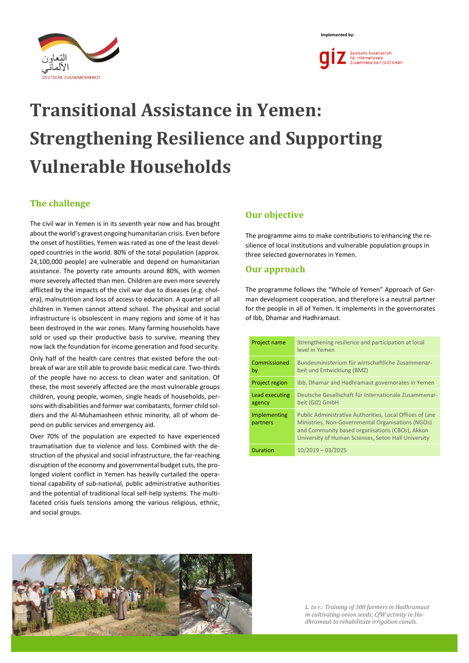



# **Transitional Assistance in Yemen: Strengthening Resilience and Supporting Vulnerable Households**

# **The challenge**

The civil war in Yemen is in its seventh year now and has brought about the world's gravest ongoing humanitarian crisis. Even before the onset of hostilities, Yemen was rated as one of the least developed countries in the world. 80% of the total population (approx. 24,100,000 people) are vulnerable and depend on humanitarian assistance. The poverty rate amounts around 80%, with women more severely affected than men. Children are even more severely afflicted by the impacts of the civil war due to diseases (e.g. cholera), malnutrition and loss of access to education. A quarter of all children in Yemen cannot attend school. The physical and social infrastructure is obsolescent in many regions and some of it has been destroyed in the war zones. Many farming households have sold or used up their productive basis to survive, meaning they now lack the foundation for income generation and food security.

Only half of the health care centres that existed before the outbreak of war are still able to provide basic medical care. Two-thirds of the people have no access to clean water and sanitation. Of these, the most severely affected are the most vulnerable groups children, young people, women, single heads of households, persons with disabilities and former war combatants, former child soldiers and the Al-Muhamasheen ethnic minority, all of whom depend on public services and emergency aid.

Over 70% of the population are expected to have experienced traumatisation due to violence and loss. Combined with the destruction of the physical and social infrastructure, the far-reaching disruption of the economy and governmental budget cuts, the prolonged violent conflict in Yemen has heavily curtailed the operational capability of sub-national, public administrative authorities and the potential of traditional local self-help systems. The multifaceted crisis fuels tensions among the various religious, ethnic, and social groups.

# **Our objective**

The programme aims to make contributions to enhancing the resilience of local institutions and vulnerable population groups in three selected governorates in Yemen.

# **Our approach**

The programme follows the "Whole of Yemen" Approach of German development cooperation, and therefore is a neutral partner for the people in all of Yemen. It implements in the governorates of Ibb, Dhamar and Hadhramaut.

| Project name             | Strengthening resilience and participation at local<br>level in Yemen                                                                                                                                                   |  |  |
|--------------------------|-------------------------------------------------------------------------------------------------------------------------------------------------------------------------------------------------------------------------|--|--|
| Commissioned<br>by       | Bundesministerium für wirtschaftliche Zusammenar-<br>beit und Entwicklung (BMZ)                                                                                                                                         |  |  |
| Project region           | Ibb, Dhamar and Hadhramaut governorates in Yemen                                                                                                                                                                        |  |  |
| Lead executing<br>agency | Deutsche Gesellschaft für Internationale Zusammenar-<br>beit (GIZ) GmbH                                                                                                                                                 |  |  |
| Implementing<br>partners | Public Administrative Authorities, Local Offices of Line<br>Ministries, Non-Governmental Organisations (NGOs)<br>and Community based organisations (CBOs), Akkon<br>University of Human Sciences, Seton Hall University |  |  |
| <b>Duration</b>          | $10/2019 - 03/2025$                                                                                                                                                                                                     |  |  |



*L. to r.: Training of 300 farmers in Hadhramaut in cultivating onion seeds; CfW activity in Hadhramaut to rehabilitate irrigation canals.*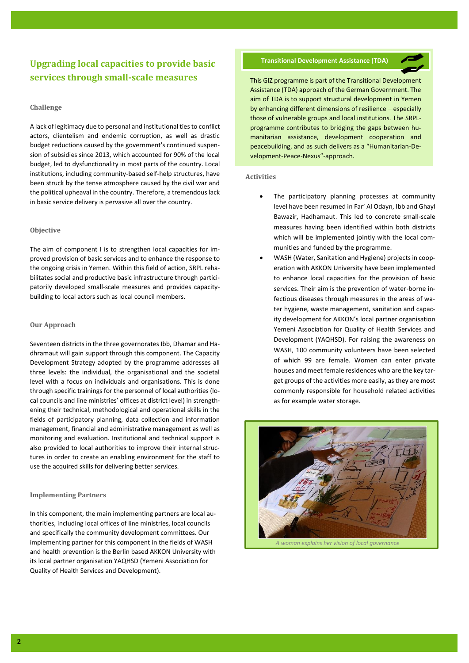# **Upgrading local capacities to provide basic services through small-scale measures**

## **Challenge**

A lack of legitimacy due to personal and institutional ties to conflict actors, clientelism and endemic corruption, as well as drastic budget reductions caused by the government's continued suspension of subsidies since 2013, which accounted for 90% of the local budget, led to dysfunctionality in most parts of the country. Local institutions, including community-based self-help structures, have been struck by the tense atmosphere caused by the civil war and the political upheaval in the country. Therefore, a tremendous lack in basic service delivery is pervasive all over the country.

# **Objective**

The aim of component I is to strengthen local capacities for improved provision of basic services and to enhance the response to the ongoing crisis in Yemen. Within this field of action, SRPL rehabilitates social and productive basic infrastructure through participatorily developed small-scale measures and provides capacitybuilding to local actors such as local council members.

# **Our Approach**

Seventeen districts in the three governorates Ibb, Dhamar and Hadhramaut will gain support through this component. The Capacity Development Strategy adopted by the programme addresses all three levels: the individual, the organisational and the societal level with a focus on individuals and organisations. This is done through specific trainings for the personnel of local authorities (local councils and line ministries' offices at district level) in strengthening their technical, methodological and operational skills in the fields of participatory planning, data collection and information management, financial and administrative management as well as monitoring and evaluation. Institutional and technical support is also provided to local authorities to improve their internal structures in order to create an enabling environment for the staff to use the acquired skills for delivering better services.

# **Implementing Partners**

In this component, the main implementing partners are local authorities, including local offices of line ministries, local councils and specifically the community development committees. Our implementing partner for this component in the fields of WASH and health prevention is the Berlin based AKKON University with its local partner organisation YAQHSD (Yemeni Association for Quality of Health Services and Development).

# **Transitional Development Assistance (TDA)**



This GIZ programme is part of the Transitional Development Assistance (TDA) approach of the German Government. The aim of TDA is to support structural development in Yemen by enhancing different dimensions of resilience – especially those of vulnerable groups and local institutions. The SRPLprogramme contributes to bridging the gaps between humanitarian assistance, development cooperation and peacebuilding, and as such delivers as a "Humanitarian-Development-Peace-Nexus"-approach.

#### **Activities**

- The participatory planning processes at community level have been resumed in Far' Al Odayn, Ibb and Ghayl Bawazir, Hadhamaut. This led to concrete small-scale measures having been identified within both districts which will be implemented jointly with the local communities and funded by the programme.
- WASH (Water, Sanitation and Hygiene) projects in cooperation with AKKON University have been implemented to enhance local capacities for the provision of basic services. Their aim is the prevention of water-borne infectious diseases through measures in the areas of water hygiene, waste management, sanitation and capacity development for AKKON's local partner organisation Yemeni Association for Quality of Health Services and Development (YAQHSD). For raising the awareness on WASH, 100 community volunteers have been selected of which 99 are female. Women can enter private houses and meet female residences who are the key target groups of the activities more easily, as they are most commonly responsible for household related activities as for example water storage.



*A woman explains her vision of local governance*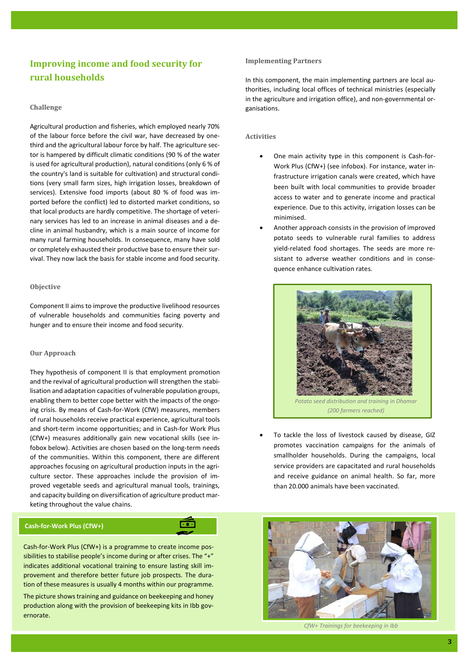# **Improving income and food security for rural households**

## **Challenge**

Agricultural production and fisheries, which employed nearly 70% of the labour force before the civil war, have decreased by onethird and the agricultural labour force by half. The agriculture sector is hampered by difficult climatic conditions (90 % of the water is used for agricultural production), natural conditions (only 6 % of the country's land is suitable for cultivation) and structural conditions (very small farm sizes, high irrigation losses, breakdown of services). Extensive food imports (about 80 % of food was imported before the conflict) led to distorted market conditions, so that local products are hardly competitive. The shortage of veterinary services has led to an increase in animal diseases and a decline in animal husbandry, which is a main source of income for many rural farming households. In consequence, many have sold or completely exhausted their productive base to ensure their survival. They now lack the basis for stable income and food security.

#### **Objective**

Component II aims to improve the productive livelihood resources of vulnerable households and communities facing poverty and hunger and to ensure their income and food security.

#### **Our Approach**

They hypothesis of component II is that employment promotion and the revival of agricultural production will strengthen the stabilisation and adaptation capacities of vulnerable population groups, enabling them to better cope better with the impacts of the ongoing crisis. By means of Cash-for-Work (CfW) measures, members of rural households receive practical experience, agricultural tools and short-term income opportunities; and in Cash-for Work Plus (CfW+) measures additionally gain new vocational skills (see infobox below). Activities are chosen based on the long-term needs of the communities. Within this component, there are different approaches focusing on agricultural production inputs in the agriculture sector. These approaches include the provision of improved vegetable seeds and agricultural manual tools, trainings, and capacity building on diversification of agriculture product marketing throughout the value chains.

# **Cash-for-Work Plus (CfW+)**

Cash-for-Work Plus (CfW+) is a programme to create income possibilities to stabilise people's income during or after crises. The "+" indicates additional vocational training to ensure lasting skill improvement and therefore better future job prospects. The duration of these measures is usually 4 months within our programme.

 $\overline{\cdots}$ 

The picture shows training and guidance on beekeeping and honey production along with the provision of beekeeping kits in Ibb governorate.

#### **Implementing Partners**

In this component, the main implementing partners are local authorities, including local offices of technical ministries (especially in the agriculture and irrigation office), and non-governmental organisations.

#### **Activities**

- One main activity type in this component is Cash-for-Work Plus (CfW+) (see infobox). For instance, water infrastructure irrigation canals were created, which have been built with local communities to provide broader access to water and to generate income and practical experience. Due to this activity, irrigation losses can be minimised.
- Another approach consists in the provision of improved potato seeds to vulnerable rural families to address yield-related food shortages. The seeds are more resistant to adverse weather conditions and in consequence enhance cultivation rates.



To tackle the loss of livestock caused by disease, GIZ promotes vaccination campaigns for the animals of smallholder households. During the campaigns, local service providers are capacitated and rural households and receive guidance on animal health. So far, more than 20.000 animals have been vaccinated.



*CfW+ Trainings for beekeeping in Ibb*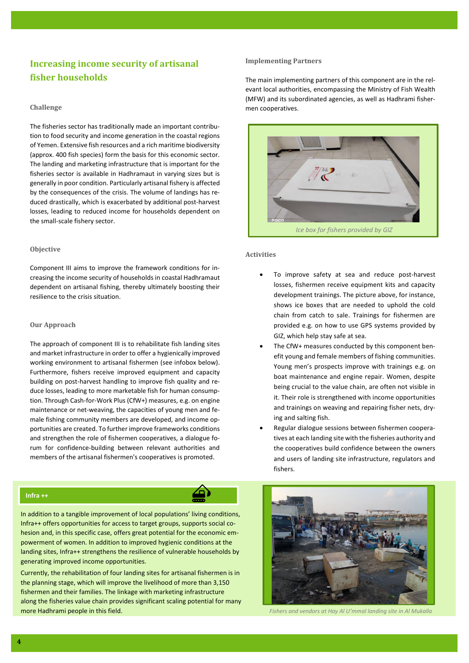# **Increasing income security of artisanal fisher households**

## **Challenge**

The fisheries sector has traditionally made an important contribution to food security and income generation in the coastal regions of Yemen. Extensive fish resources and a rich maritime biodiversity (approx. 400 fish species) form the basis for this economic sector. The landing and marketing infrastructure that is important for the fisheries sector is available in Hadhramaut in varying sizes but is generally in poor condition. Particularly artisanal fishery is affected by the consequences of the crisis. The volume of landings has reduced drastically, which is exacerbated by additional post-harvest losses, leading to reduced income for households dependent on the small-scale fishery sector.

#### **Objective**

Component III aims to improve the framework conditions for increasing the income security of households in coastal Hadhramaut dependent on artisanal fishing, thereby ultimately boosting their resilience to the crisis situation.

# **Our Approach**

The approach of component III is to rehabilitate fish landing sites and market infrastructure in order to offer a hygienically improved working environment to artisanal fishermen (see infobox below). Furthermore, fishers receive improved equipment and capacity building on post-harvest handling to improve fish quality and reduce losses, leading to more marketable fish for human consumption. Through Cash-for-Work Plus (CfW+) measures, e.g. on engine maintenance or net-weaving, the capacities of young men and female fishing community members are developed, and income opportunities are created. To further improve frameworks conditions and strengthen the role of fishermen cooperatives, a dialogue forum for confidence-building between relevant authorities and members of the artisanal fishermen's cooperatives is promoted.

# **Infra ++**

In addition to a tangible improvement of local populations' living conditions, Infra++ offers opportunities for access to target groups, supports social cohesion and, in this specific case, offers great potential for the economic empowerment of women. In addition to improved hygienic conditions at the landing sites, Infra++ strengthens the resilience of vulnerable households by generating improved income opportunities.

Currently, the rehabilitation of four landing sites for artisanal fishermen is in the planning stage, which will improve the livelihood of more than 3,150 fishermen and their families. The linkage with marketing infrastructure along the fisheries value chain provides significant scaling potential for many more Hadhrami people in this field. *Fishers and vendors at Hay Al U'mmal landing site in Al Mukalla*

#### **Implementing Partners**

The main implementing partners of this component are in the relevant local authorities, encompassing the Ministry of Fish Wealth (MFW) and its subordinated agencies, as well as Hadhrami fishermen cooperatives.



# **Activities**

- To improve safety at sea and reduce post-harvest losses, fishermen receive equipment kits and capacity development trainings. The picture above, for instance, shows ice boxes that are needed to uphold the cold chain from catch to sale. Trainings for fishermen are provided e.g. on how to use GPS systems provided by GIZ, which help stay safe at sea.
- The CfW+ measures conducted by this component benefit young and female members of fishing communities. Young men's prospects improve with trainings e.g. on boat maintenance and engine repair. Women, despite being crucial to the value chain, are often not visible in it. Their role is strengthened with income opportunities and trainings on weaving and repairing fisher nets, drying and salting fish.
- Regular dialogue sessions between fishermen cooperatives at each landing site with the fisheries authority and the cooperatives build confidence between the owners and users of landing site infrastructure, regulators and fishers.

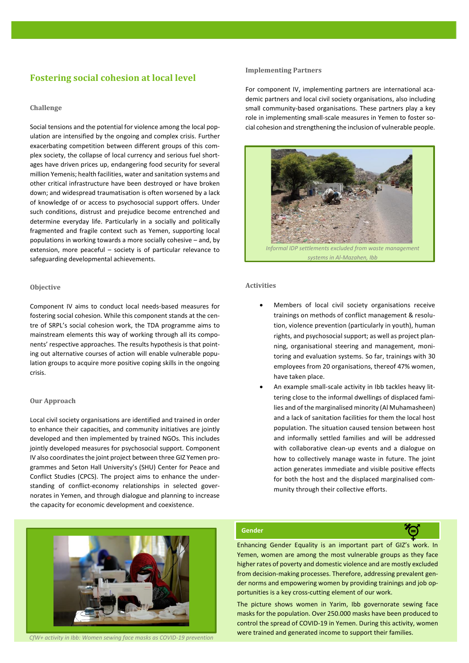# **Fostering social cohesion at local level**

# **Challenge**

Social tensions and the potential for violence among the local population are intensified by the ongoing and complex crisis. Further exacerbating competition between different groups of this complex society, the collapse of local currency and serious fuel shortages have driven prices up, endangering food security for several million Yemenis; health facilities, water and sanitation systems and other critical infrastructure have been destroyed or have broken down; and widespread traumatisation is often worsened by a lack of knowledge of or access to psychosocial support offers. Under such conditions, distrust and prejudice become entrenched and determine everyday life. Particularly in a socially and politically fragmented and fragile context such as Yemen, supporting local populations in working towards a more socially cohesive – and, by extension, more peaceful – society is of particular relevance to safeguarding developmental achievements.

## **Objective**

Component IV aims to conduct local needs-based measures for fostering social cohesion. While this component stands at the centre of SRPL's social cohesion work, the TDA programme aims to mainstream elements this way of working through all its components' respective approaches. The results hypothesis is that pointing out alternative courses of action will enable vulnerable population groups to acquire more positive coping skills in the ongoing crisis.

# **Our Approach**

Local civil society organisations are identified and trained in order to enhance their capacities, and community initiatives are jointly developed and then implemented by trained NGOs. This includes jointly developed measures for psychosocial support. Component IV also coordinates the joint project between three GIZ Yemen programmes and Seton Hall University's (SHU) Center for Peace and Conflict Studies (CPCS). The project aims to enhance the understanding of conflict-economy relationships in selected governorates in Yemen, and through dialogue and planning to increase the capacity for economic development and coexistence.

#### **Implementing Partners**

For component IV, implementing partners are international academic partners and local civil society organisations, also including small community-based organisations. These partners play a key role in implementing small-scale measures in Yemen to foster social cohesion and strengthening the inclusion of vulnerable people.



# **Activities**

- Members of local civil society organisations receive trainings on methods of conflict management & resolution, violence prevention (particularly in youth), human rights, and psychosocial support; as well as project planning, organisational steering and management, monitoring and evaluation systems. So far, trainings with 30 employees from 20 organisations, thereof 47% women, have taken place.
- An example small-scale activity in Ibb tackles heavy littering close to the informal dwellings of displaced families and of the marginalised minority (Al Muhamasheen) and a lack of sanitation facilities for them the local host population. The situation caused tension between host and informally settled families and will be addressed with collaborative clean-up events and a dialogue on how to collectively manage waste in future. The joint action generates immediate and visible positive effects for both the host and the displaced marginalised community through their collective efforts.



*CfW+ activity in Ibb: Women sewing face masks as COVID-19 prevention*

## **Gender**

Enhancing Gender Equality is an important part of GIZ's work. In Yemen, women are among the most vulnerable groups as they face higher rates of poverty and domestic violence and are mostly excluded from decision-making processes. Therefore, addressing prevalent gender norms and empowering women by providing trainings and job opportunities is a key cross-cutting element of our work.

The picture shows women in Yarim, Ibb governorate sewing face masks for the population. Over 250.000 masks have been produced to control the spread of COVID-19 in Yemen. During this activity, women were trained and generated income to support their families.